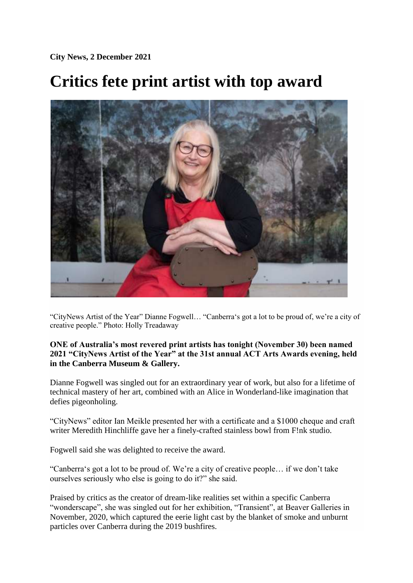**City News, 2 December 2021** 

## **Critics fete print artist with top award**



"CityNews Artist of the Year" Dianne Fogwell… "Canberra's got a lot to be proud of, we're a city of creative people." Photo: Holly Treadaway

## **ONE of Australia's most revered print artists has tonight (November 30) been named 2021 "CityNews Artist of the Year" at the 31st annual ACT Arts Awards evening, held in the Canberra Museum & Gallery.**

Dianne Fogwell was singled out for an extraordinary year of work, but also for a lifetime of technical mastery of her art, combined with an Alice in Wonderland-like imagination that defies pigeonholing.

"CityNews" editor Ian Meikle presented her with a certificate and a \$1000 cheque and craft writer Meredith Hinchliffe gave her a finely-crafted stainless bowl from F!nk studio.

Fogwell said she was delighted to receive the award.

"Canberra's got a lot to be proud of. We're a city of creative people… if we don't take ourselves seriously who else is going to do it?" she said.

Praised by critics as the creator of dream-like realities set within a specific Canberra "wonderscape", she was singled out for her exhibition, "Transient", at Beaver Galleries in November, 2020, which captured the eerie light cast by the blanket of smoke and unburnt particles over Canberra during the 2019 bushfires.